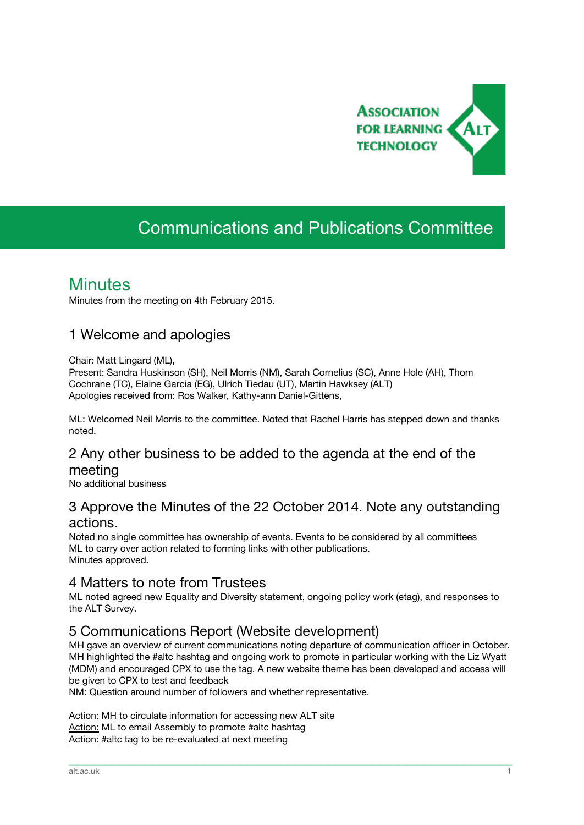

# Communications and Publications Committee

## **Minutes**

Minutes from the meeting on 4th February 2015.

## 1 Welcome and apologies

Chair: Matt Lingard (ML),

Present: Sandra Huskinson (SH), Neil Morris (NM), Sarah Cornelius (SC), Anne Hole (AH), Thom Cochrane (TC), Elaine Garcia (EG), Ulrich Tiedau (UT), Martin Hawksey (ALT) Apologies received from: Ros Walker, Kathy-ann Daniel-Gittens,

ML: Welcomed Neil Morris to the committee. Noted that Rachel Harris has stepped down and thanks noted.

## 2 Any other business to be added to the agenda at the end of the meeting

No additional business

## 3 Approve the Minutes of the 22 October 2014. Note any outstanding actions.

Noted no single committee has ownership of events. Events to be considered by all committees ML to carry over action related to forming links with other publications. Minutes approved.

## 4 Matters to note from Trustees

ML noted agreed new Equality and Diversity statement, ongoing policy work (etag), and responses to the ALT Survey.

## 5 Communications Report (Website development)

MH gave an overview of current communications noting departure of communication officer in October. MH highlighted the #altc hashtag and ongoing work to promote in particular working with the Liz Wyatt (MDM) and encouraged CPX to use the tag. A new website theme has been developed and access will be given to CPX to test and feedback

\_\_\_\_\_\_\_\_\_\_\_\_\_\_\_\_\_\_\_\_\_\_\_\_\_\_\_\_\_\_\_\_\_\_\_\_\_\_\_\_\_\_\_\_\_\_\_\_\_\_\_\_\_\_\_\_\_\_\_\_\_\_\_\_\_\_\_\_\_\_\_\_\_\_\_\_\_\_\_\_\_\_\_\_\_\_\_\_\_\_\_\_\_\_\_\_\_\_\_\_\_\_\_\_\_\_\_\_\_\_\_\_\_\_\_\_\_\_\_\_\_\_\_\_\_\_\_\_\_\_\_\_\_\_\_\_\_\_\_\_\_\_\_\_\_\_\_\_\_\_\_

NM: Question around number of followers and whether representative.

Action: MH to circulate information for accessing new ALT site Action: ML to email Assembly to promote #altc hashtag Action: #altc tag to be re-evaluated at next meeting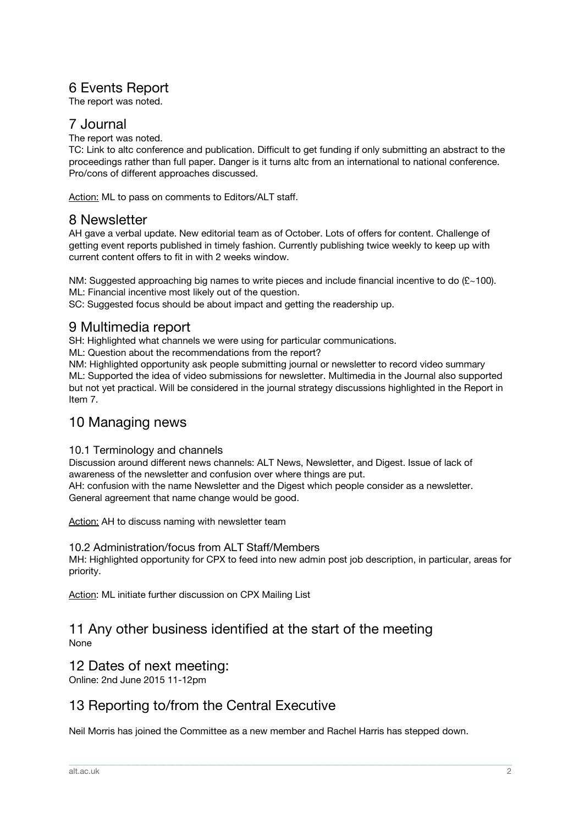## 6 Events Report

The report was noted.

#### 7 Journal

The report was noted.

TC: Link to altc conference and publication. Difficult to get funding if only submitting an abstract to the proceedings rather than full paper. Danger is it turns altc from an international to national conference. Pro/cons of different approaches discussed.

Action: ML to pass on comments to Editors/ALT staff.

#### 8 Newsletter

AH gave a verbal update. New editorial team as of October. Lots of offers for content. Challenge of getting event reports published in timely fashion. Currently publishing twice weekly to keep up with current content offers to fit in with 2 weeks window.

NM: Suggested approaching big names to write pieces and include financial incentive to do (£~100). ML: Financial incentive most likely out of the question.

SC: Suggested focus should be about impact and getting the readership up.

#### 9 Multimedia report

SH: Highlighted what channels we were using for particular communications.

ML: Question about the recommendations from the report?

NM: Highlighted opportunity ask people submitting journal or newsletter to record video summary ML: Supported the idea of video submissions for newsletter. Multimedia in the Journal also supported but not yet practical. Will be considered in the journal strategy discussions highlighted in the Report in Item 7.

## 10 Managing news

#### 10.1 Terminology and channels

Discussion around different news channels: ALT News, Newsletter, and Digest. Issue of lack of awareness of the newsletter and confusion over where things are put. AH: confusion with the name Newsletter and the Digest which people consider as a newsletter. General agreement that name change would be good.

Action: AH to discuss naming with newsletter team

#### 10.2 Administration/focus from ALT Staff/Members

MH: Highlighted opportunity for CPX to feed into new admin post job description, in particular, areas for priority.

Action: ML initiate further discussion on CPX Mailing List

#### 11 Any other business identified at the start of the meeting None

## 12 Dates of next meeting:

Online: 2nd June 2015 11-12pm

## 13 Reporting to/from the Central Executive

Neil Morris has joined the Committee as a new member and Rachel Harris has stepped down.

\_\_\_\_\_\_\_\_\_\_\_\_\_\_\_\_\_\_\_\_\_\_\_\_\_\_\_\_\_\_\_\_\_\_\_\_\_\_\_\_\_\_\_\_\_\_\_\_\_\_\_\_\_\_\_\_\_\_\_\_\_\_\_\_\_\_\_\_\_\_\_\_\_\_\_\_\_\_\_\_\_\_\_\_\_\_\_\_\_\_\_\_\_\_\_\_\_\_\_\_\_\_\_\_\_\_\_\_\_\_\_\_\_\_\_\_\_\_\_\_\_\_\_\_\_\_\_\_\_\_\_\_\_\_\_\_\_\_\_\_\_\_\_\_\_\_\_\_\_\_\_